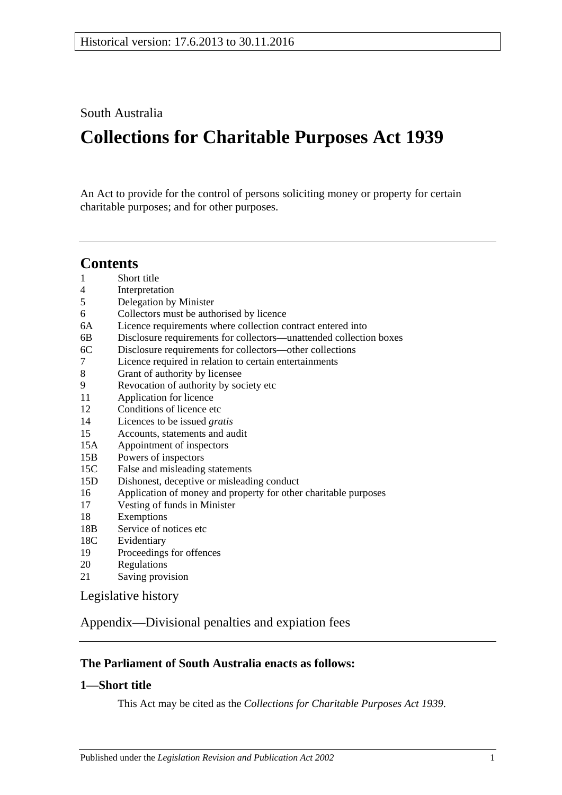South Australia

# **Collections for Charitable Purposes Act 1939**

An Act to provide for the control of persons soliciting money or property for certain charitable purposes; and for other purposes.

# **Contents**

- 1 [Short title](#page-0-0)
- 4 [Interpretation](#page-1-0)
- 5 [Delegation by Minister](#page-1-1)
- 6 [Collectors must be authorised by licence](#page-2-0)
- 6A [Licence requirements where collection contract entered into](#page-2-1)
- 6B [Disclosure requirements for collectors—unattended collection boxes](#page-3-0)
- 6C [Disclosure requirements for collectors—other collections](#page-3-1)
- 7 [Licence required in relation to certain entertainments](#page-4-0)
- 8 [Grant of authority by licensee](#page-5-0)
- 9 [Revocation of authority by society etc](#page-6-0)
- 11 [Application for licence](#page-6-1)
- 12 [Conditions of licence etc](#page-6-2)
- 14 [Licences to be issued](#page-7-0) *gratis*
- 15 [Accounts, statements and audit](#page-7-1)
- 15A [Appointment of inspectors](#page-8-0)
- 15B [Powers of inspectors](#page-9-0)
- 15C [False and misleading statements](#page-10-0)
- 15D [Dishonest, deceptive or misleading conduct](#page-10-1)
- 16 [Application of money and property for other charitable purposes](#page-10-2)
- 17 [Vesting of funds in Minister](#page-10-3)
- 18 [Exemptions](#page-11-0)
- 18B [Service of notices etc](#page-11-1)
- 18C [Evidentiary](#page-11-2)
- 19 [Proceedings for offences](#page-11-3)
- 20 [Regulations](#page-12-0)
- 21 [Saving provision](#page-12-1)

[Legislative history](#page-13-0)

[Appendix—Divisional penalties and expiation fees](#page-16-0)

# **The Parliament of South Australia enacts as follows:**

# <span id="page-0-0"></span>**1—Short title**

This Act may be cited as the *Collections for Charitable Purposes Act 1939*.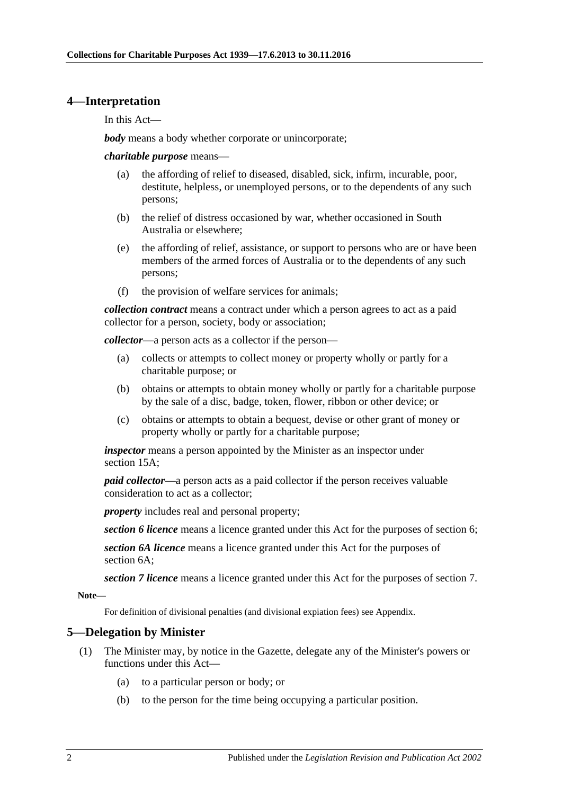#### <span id="page-1-0"></span>**4—Interpretation**

In this Act—

*body* means a body whether corporate or unincorporate;

*charitable purpose* means—

- (a) the affording of relief to diseased, disabled, sick, infirm, incurable, poor, destitute, helpless, or unemployed persons, or to the dependents of any such persons;
- (b) the relief of distress occasioned by war, whether occasioned in South Australia or elsewhere;
- (e) the affording of relief, assistance, or support to persons who are or have been members of the armed forces of Australia or to the dependents of any such persons;
- (f) the provision of welfare services for animals;

*collection contract* means a contract under which a person agrees to act as a paid collector for a person, society, body or association;

*collector*—a person acts as a collector if the person—

- (a) collects or attempts to collect money or property wholly or partly for a charitable purpose; or
- (b) obtains or attempts to obtain money wholly or partly for a charitable purpose by the sale of a disc, badge, token, flower, ribbon or other device; or
- (c) obtains or attempts to obtain a bequest, devise or other grant of money or property wholly or partly for a charitable purpose;

*inspector* means a person appointed by the Minister as an inspector under [section](#page-8-0) 15A;

*paid collector*—a person acts as a paid collector if the person receives valuable consideration to act as a collector;

*property* includes real and personal property;

*section 6 licence* means a licence granted under this Act for the purposes of section 6;

*section 6A licence* means a licence granted under this Act for the purposes of section 6A;

*section 7 licence* means a licence granted under this Act for the purposes of section 7.

**Note—**

For definition of divisional penalties (and divisional expiation fees) see Appendix.

### <span id="page-1-1"></span>**5—Delegation by Minister**

- (1) The Minister may, by notice in the Gazette, delegate any of the Minister's powers or functions under this Act—
	- (a) to a particular person or body; or
	- (b) to the person for the time being occupying a particular position.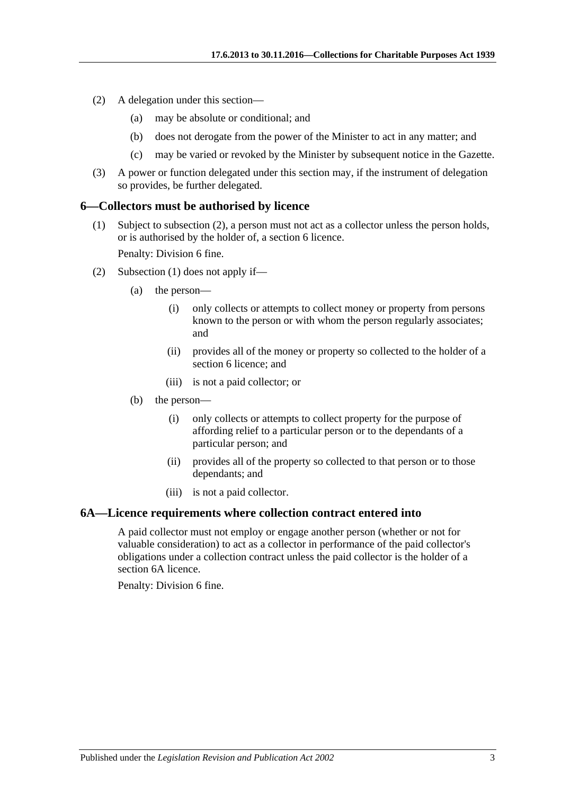- (2) A delegation under this section—
	- (a) may be absolute or conditional; and
	- (b) does not derogate from the power of the Minister to act in any matter; and
	- (c) may be varied or revoked by the Minister by subsequent notice in the Gazette.
- (3) A power or function delegated under this section may, if the instrument of delegation so provides, be further delegated.

#### <span id="page-2-3"></span><span id="page-2-0"></span>**6—Collectors must be authorised by licence**

(1) Subject to [subsection](#page-2-2) (2), a person must not act as a collector unless the person holds, or is authorised by the holder of, a [section](#page-2-0) 6 licence.

Penalty: Division 6 fine.

- <span id="page-2-2"></span>(2) [Subsection](#page-2-3) (1) does not apply if—
	- (a) the person—
		- (i) only collects or attempts to collect money or property from persons known to the person or with whom the person regularly associates; and
		- (ii) provides all of the money or property so collected to the holder of a [section](#page-2-0) 6 licence; and
		- (iii) is not a paid collector; or
	- (b) the person—
		- (i) only collects or attempts to collect property for the purpose of affording relief to a particular person or to the dependants of a particular person; and
		- (ii) provides all of the property so collected to that person or to those dependants; and
		- (iii) is not a paid collector.

#### <span id="page-2-1"></span>**6A—Licence requirements where collection contract entered into**

A paid collector must not employ or engage another person (whether or not for valuable consideration) to act as a collector in performance of the paid collector's obligations under a collection contract unless the paid collector is the holder of a [section](#page-2-1) 6A licence.

Penalty: Division 6 fine.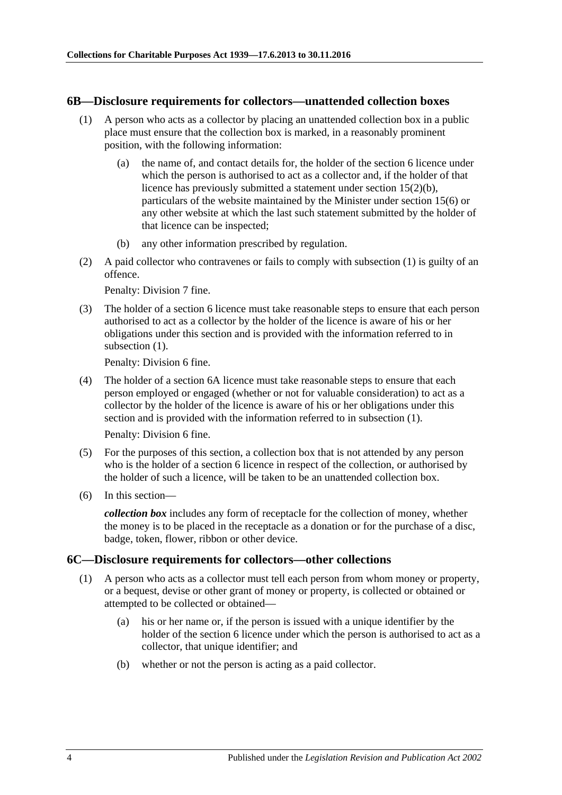#### <span id="page-3-2"></span><span id="page-3-0"></span>**6B—Disclosure requirements for collectors—unattended collection boxes**

- (1) A person who acts as a collector by placing an unattended collection box in a public place must ensure that the collection box is marked, in a reasonably prominent position, with the following information:
	- (a) the name of, and contact details for, the holder of the [section](#page-2-0) 6 licence under which the person is authorised to act as a collector and, if the holder of that licence has previously submitted a statement under section [15\(2\)\(b\),](#page-7-2) particulars of the website maintained by the Minister under [section](#page-8-1) 15(6) or any other website at which the last such statement submitted by the holder of that licence can be inspected;
	- (b) any other information prescribed by regulation.
- (2) A paid collector who contravenes or fails to comply with [subsection](#page-3-2) (1) is guilty of an offence.

Penalty: Division 7 fine.

(3) The holder of a [section](#page-2-0) 6 licence must take reasonable steps to ensure that each person authorised to act as a collector by the holder of the licence is aware of his or her obligations under this section and is provided with the information referred to in [subsection](#page-3-2) (1).

Penalty: Division 6 fine.

(4) The holder of a [section](#page-2-1) 6A licence must take reasonable steps to ensure that each person employed or engaged (whether or not for valuable consideration) to act as a collector by the holder of the licence is aware of his or her obligations under this section and is provided with the information referred to in [subsection](#page-3-2) (1).

Penalty: Division 6 fine.

- (5) For the purposes of this section, a collection box that is not attended by any person who is the holder of a [section](#page-2-0) 6 licence in respect of the collection, or authorised by the holder of such a licence, will be taken to be an unattended collection box.
- (6) In this section—

*collection box* includes any form of receptacle for the collection of money, whether the money is to be placed in the receptacle as a donation or for the purchase of a disc, badge, token, flower, ribbon or other device.

#### <span id="page-3-3"></span><span id="page-3-1"></span>**6C—Disclosure requirements for collectors—other collections**

- (1) A person who acts as a collector must tell each person from whom money or property, or a bequest, devise or other grant of money or property, is collected or obtained or attempted to be collected or obtained—
	- (a) his or her name or, if the person is issued with a unique identifier by the holder of the [section](#page-2-0) 6 licence under which the person is authorised to act as a collector, that unique identifier; and
	- (b) whether or not the person is acting as a paid collector.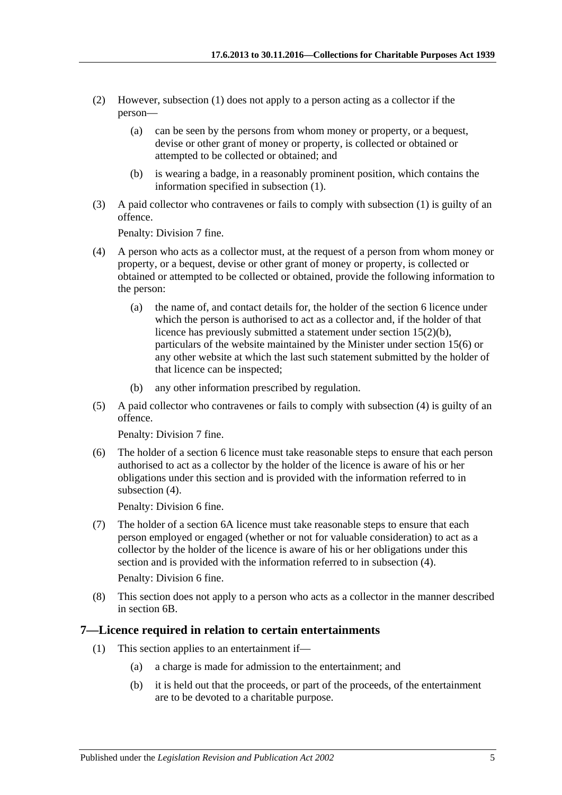- (2) However, [subsection](#page-3-3) (1) does not apply to a person acting as a collector if the person—
	- (a) can be seen by the persons from whom money or property, or a bequest, devise or other grant of money or property, is collected or obtained or attempted to be collected or obtained; and
	- (b) is wearing a badge, in a reasonably prominent position, which contains the information specified in [subsection](#page-3-3) (1).
- (3) A paid collector who contravenes or fails to comply with [subsection](#page-3-3) (1) is guilty of an offence.

Penalty: Division 7 fine.

- <span id="page-4-1"></span>(4) A person who acts as a collector must, at the request of a person from whom money or property, or a bequest, devise or other grant of money or property, is collected or obtained or attempted to be collected or obtained, provide the following information to the person:
	- (a) the name of, and contact details for, the holder of the [section](#page-2-0) 6 licence under which the person is authorised to act as a collector and, if the holder of that licence has previously submitted a statement under section [15\(2\)\(b\),](#page-7-2) particulars of the website maintained by the Minister under [section](#page-8-1) 15(6) or any other website at which the last such statement submitted by the holder of that licence can be inspected;
	- (b) any other information prescribed by regulation.
- (5) A paid collector who contravenes or fails to comply with [subsection](#page-4-1) (4) is guilty of an offence.

Penalty: Division 7 fine.

(6) The holder of a [section](#page-2-0) 6 licence must take reasonable steps to ensure that each person authorised to act as a collector by the holder of the licence is aware of his or her obligations under this section and is provided with the information referred to in [subsection](#page-4-1)  $(4)$ .

Penalty: Division 6 fine.

(7) The holder of a [section](#page-2-1) 6A licence must take reasonable steps to ensure that each person employed or engaged (whether or not for valuable consideration) to act as a collector by the holder of the licence is aware of his or her obligations under this section and is provided with the information referred to in [subsection](#page-4-1) (4).

Penalty: Division 6 fine.

(8) This section does not apply to a person who acts as a collector in the manner described in [section](#page-3-0) 6B.

#### <span id="page-4-0"></span>**7—Licence required in relation to certain entertainments**

- (1) This section applies to an entertainment if—
	- (a) a charge is made for admission to the entertainment; and
	- (b) it is held out that the proceeds, or part of the proceeds, of the entertainment are to be devoted to a charitable purpose.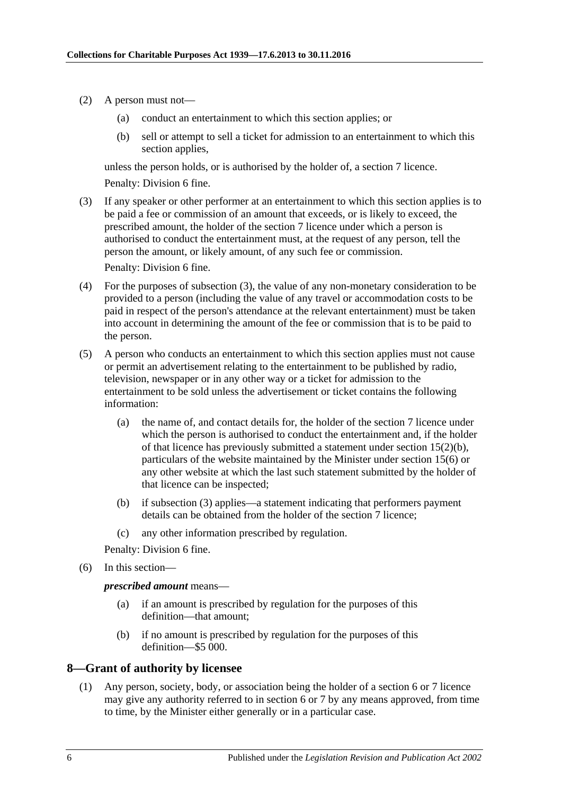- (2) A person must not—
	- (a) conduct an entertainment to which this section applies; or
	- (b) sell or attempt to sell a ticket for admission to an entertainment to which this section applies,

unless the person holds, or is authorised by the holder of, a [section](#page-4-0) 7 licence. Penalty: Division 6 fine.

<span id="page-5-1"></span>(3) If any speaker or other performer at an entertainment to which this section applies is to be paid a fee or commission of an amount that exceeds, or is likely to exceed, the prescribed amount, the holder of the [section](#page-4-0) 7 licence under which a person is authorised to conduct the entertainment must, at the request of any person, tell the person the amount, or likely amount, of any such fee or commission.

Penalty: Division 6 fine.

- (4) For the purposes of [subsection](#page-5-1) (3), the value of any non-monetary consideration to be provided to a person (including the value of any travel or accommodation costs to be paid in respect of the person's attendance at the relevant entertainment) must be taken into account in determining the amount of the fee or commission that is to be paid to the person.
- (5) A person who conducts an entertainment to which this section applies must not cause or permit an advertisement relating to the entertainment to be published by radio, television, newspaper or in any other way or a ticket for admission to the entertainment to be sold unless the advertisement or ticket contains the following information:
	- (a) the name of, and contact details for, the holder of the [section](#page-4-0) 7 licence under which the person is authorised to conduct the entertainment and, if the holder of that licence has previously submitted a statement under section [15\(2\)\(b\),](#page-7-2) particulars of the website maintained by the Minister under [section](#page-8-1) 15(6) or any other website at which the last such statement submitted by the holder of that licence can be inspected;
	- (b) if [subsection](#page-5-1) (3) applies—a statement indicating that performers payment details can be obtained from the holder of the [section](#page-4-0) 7 licence;
	- (c) any other information prescribed by regulation.

Penalty: Division 6 fine.

(6) In this section—

*prescribed amount* means—

- (a) if an amount is prescribed by regulation for the purposes of this definition—that amount;
- (b) if no amount is prescribed by regulation for the purposes of this definition—\$5 000.

### <span id="page-5-0"></span>**8—Grant of authority by licensee**

(1) Any person, society, body, or association being the holder of a [section](#page-2-0) 6 or [7](#page-4-0) licence may give any authority referred to in section 6 or 7 by any means approved, from time to time, by the Minister either generally or in a particular case.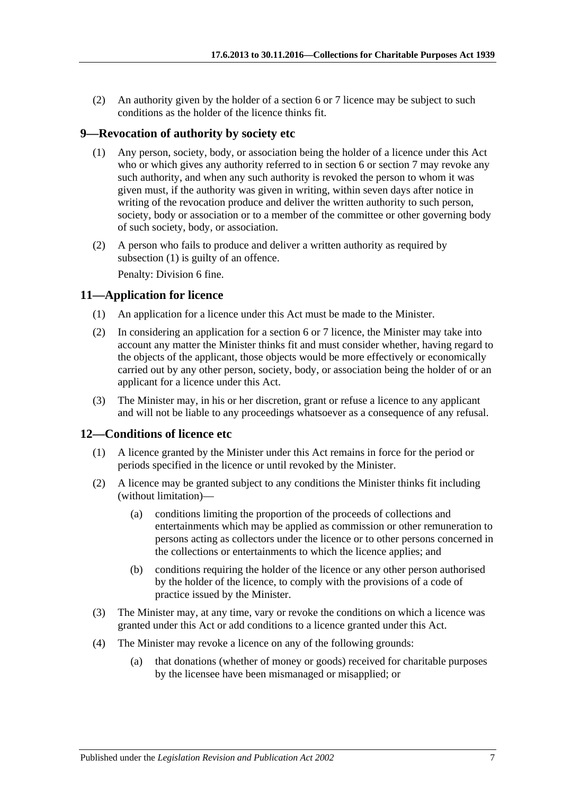(2) An authority given by the holder of a [section](#page-2-0) 6 or [7](#page-4-0) licence may be subject to such conditions as the holder of the licence thinks fit.

### <span id="page-6-3"></span><span id="page-6-0"></span>**9—Revocation of authority by society etc**

- (1) Any person, society, body, or association being the holder of a licence under this Act who or which gives any authority referred to in section 6 or section 7 may revoke any such authority, and when any such authority is revoked the person to whom it was given must, if the authority was given in writing, within seven days after notice in writing of the revocation produce and deliver the written authority to such person, society, body or association or to a member of the committee or other governing body of such society, body, or association.
- (2) A person who fails to produce and deliver a written authority as required by [subsection](#page-6-3) (1) is guilty of an offence. Penalty: Division 6 fine.

## <span id="page-6-1"></span>**11—Application for licence**

- (1) An application for a licence under this Act must be made to the Minister.
- (2) In considering an application for a [section](#page-2-0) 6 or [7](#page-4-0) licence, the Minister may take into account any matter the Minister thinks fit and must consider whether, having regard to the objects of the applicant, those objects would be more effectively or economically carried out by any other person, society, body, or association being the holder of or an applicant for a licence under this Act.
- (3) The Minister may, in his or her discretion, grant or refuse a licence to any applicant and will not be liable to any proceedings whatsoever as a consequence of any refusal.

### <span id="page-6-2"></span>**12—Conditions of licence etc**

- (1) A licence granted by the Minister under this Act remains in force for the period or periods specified in the licence or until revoked by the Minister.
- (2) A licence may be granted subject to any conditions the Minister thinks fit including (without limitation)—
	- (a) conditions limiting the proportion of the proceeds of collections and entertainments which may be applied as commission or other remuneration to persons acting as collectors under the licence or to other persons concerned in the collections or entertainments to which the licence applies; and
	- (b) conditions requiring the holder of the licence or any other person authorised by the holder of the licence, to comply with the provisions of a code of practice issued by the Minister.
- (3) The Minister may, at any time, vary or revoke the conditions on which a licence was granted under this Act or add conditions to a licence granted under this Act.
- (4) The Minister may revoke a licence on any of the following grounds:
	- (a) that donations (whether of money or goods) received for charitable purposes by the licensee have been mismanaged or misapplied; or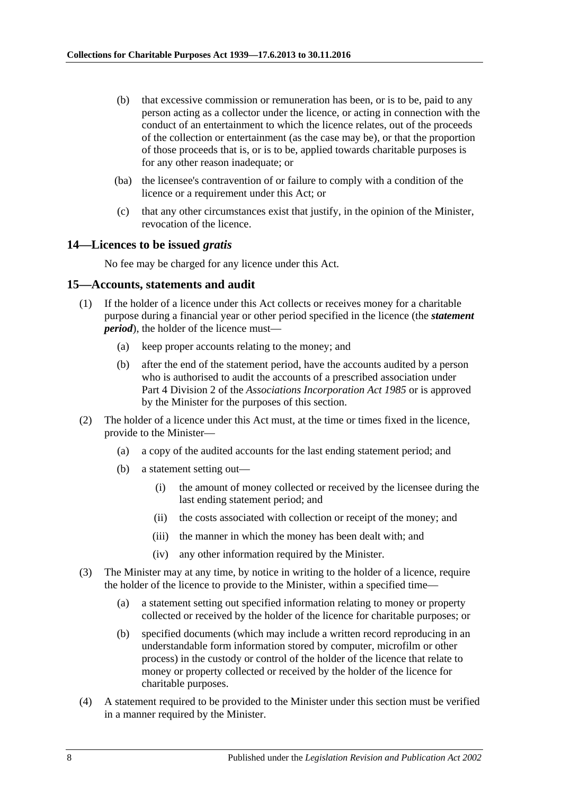- (b) that excessive commission or remuneration has been, or is to be, paid to any person acting as a collector under the licence, or acting in connection with the conduct of an entertainment to which the licence relates, out of the proceeds of the collection or entertainment (as the case may be), or that the proportion of those proceeds that is, or is to be, applied towards charitable purposes is for any other reason inadequate; or
- (ba) the licensee's contravention of or failure to comply with a condition of the licence or a requirement under this Act; or
- (c) that any other circumstances exist that justify, in the opinion of the Minister, revocation of the licence.

#### <span id="page-7-0"></span>**14—Licences to be issued** *gratis*

No fee may be charged for any licence under this Act.

#### <span id="page-7-1"></span>**15—Accounts, statements and audit**

- (1) If the holder of a licence under this Act collects or receives money for a charitable purpose during a financial year or other period specified in the licence (the *statement period*), the holder of the licence must—
	- (a) keep proper accounts relating to the money; and
	- (b) after the end of the statement period, have the accounts audited by a person who is authorised to audit the accounts of a prescribed association under Part 4 Division 2 of the *[Associations Incorporation Act](http://www.legislation.sa.gov.au/index.aspx?action=legref&type=act&legtitle=Associations%20Incorporation%20Act%201985) 1985* or is approved by the Minister for the purposes of this section.
- <span id="page-7-2"></span>(2) The holder of a licence under this Act must, at the time or times fixed in the licence, provide to the Minister—
	- (a) a copy of the audited accounts for the last ending statement period; and
	- (b) a statement setting out—
		- (i) the amount of money collected or received by the licensee during the last ending statement period; and
		- (ii) the costs associated with collection or receipt of the money; and
		- (iii) the manner in which the money has been dealt with; and
		- (iv) any other information required by the Minister.
- (3) The Minister may at any time, by notice in writing to the holder of a licence, require the holder of the licence to provide to the Minister, within a specified time—
	- (a) a statement setting out specified information relating to money or property collected or received by the holder of the licence for charitable purposes; or
	- (b) specified documents (which may include a written record reproducing in an understandable form information stored by computer, microfilm or other process) in the custody or control of the holder of the licence that relate to money or property collected or received by the holder of the licence for charitable purposes.
- (4) A statement required to be provided to the Minister under this section must be verified in a manner required by the Minister.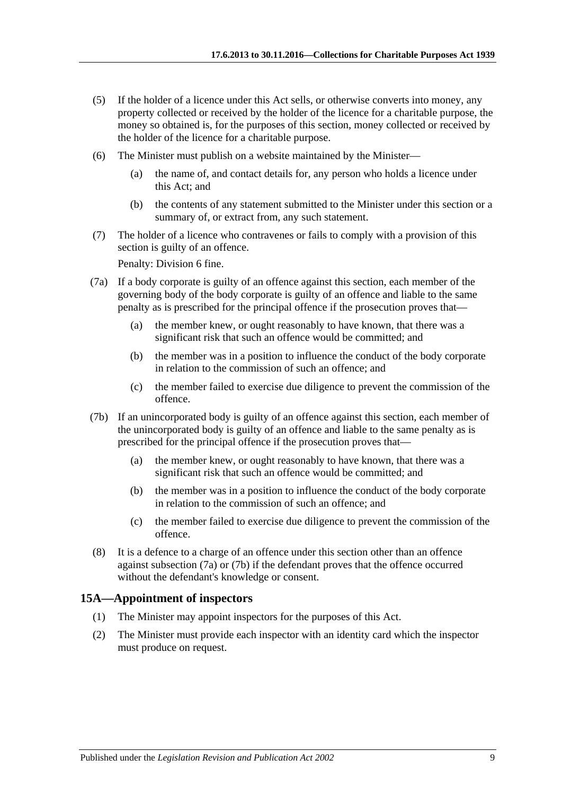- (5) If the holder of a licence under this Act sells, or otherwise converts into money, any property collected or received by the holder of the licence for a charitable purpose, the money so obtained is, for the purposes of this section, money collected or received by the holder of the licence for a charitable purpose.
- <span id="page-8-1"></span>(6) The Minister must publish on a website maintained by the Minister—
	- (a) the name of, and contact details for, any person who holds a licence under this Act; and
	- (b) the contents of any statement submitted to the Minister under this section or a summary of, or extract from, any such statement.
- (7) The holder of a licence who contravenes or fails to comply with a provision of this section is guilty of an offence.

Penalty: Division 6 fine.

- <span id="page-8-2"></span>(7a) If a body corporate is guilty of an offence against this section, each member of the governing body of the body corporate is guilty of an offence and liable to the same penalty as is prescribed for the principal offence if the prosecution proves that—
	- (a) the member knew, or ought reasonably to have known, that there was a significant risk that such an offence would be committed; and
	- (b) the member was in a position to influence the conduct of the body corporate in relation to the commission of such an offence; and
	- (c) the member failed to exercise due diligence to prevent the commission of the offence.
- <span id="page-8-3"></span>(7b) If an unincorporated body is guilty of an offence against this section, each member of the unincorporated body is guilty of an offence and liable to the same penalty as is prescribed for the principal offence if the prosecution proves that—
	- (a) the member knew, or ought reasonably to have known, that there was a significant risk that such an offence would be committed; and
	- (b) the member was in a position to influence the conduct of the body corporate in relation to the commission of such an offence; and
	- (c) the member failed to exercise due diligence to prevent the commission of the offence.
- (8) It is a defence to a charge of an offence under this section other than an offence against [subsection](#page-8-2) (7a) or [\(7b\)](#page-8-3) if the defendant proves that the offence occurred without the defendant's knowledge or consent.

### <span id="page-8-0"></span>**15A—Appointment of inspectors**

- (1) The Minister may appoint inspectors for the purposes of this Act.
- (2) The Minister must provide each inspector with an identity card which the inspector must produce on request.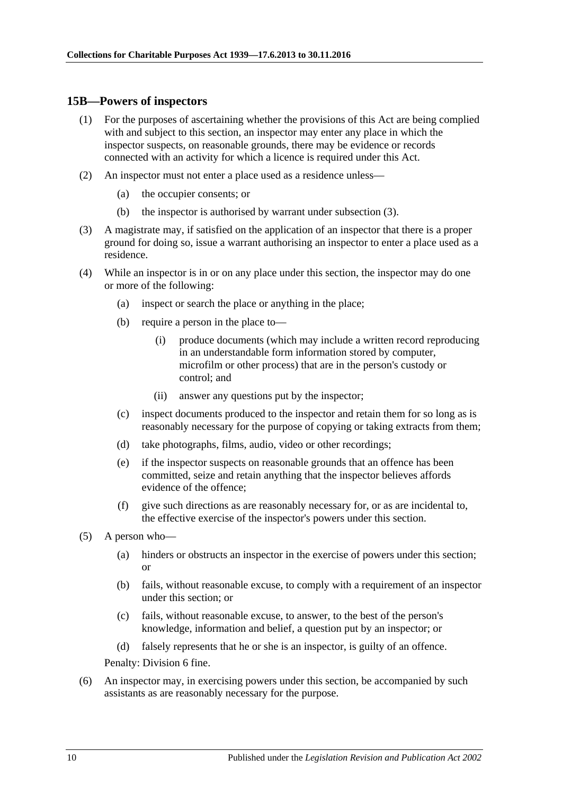#### <span id="page-9-0"></span>**15B—Powers of inspectors**

- (1) For the purposes of ascertaining whether the provisions of this Act are being complied with and subject to this section, an inspector may enter any place in which the inspector suspects, on reasonable grounds, there may be evidence or records connected with an activity for which a licence is required under this Act.
- (2) An inspector must not enter a place used as a residence unless—
	- (a) the occupier consents; or
	- (b) the inspector is authorised by warrant under [subsection](#page-9-1) (3).
- <span id="page-9-1"></span>(3) A magistrate may, if satisfied on the application of an inspector that there is a proper ground for doing so, issue a warrant authorising an inspector to enter a place used as a residence.
- (4) While an inspector is in or on any place under this section, the inspector may do one or more of the following:
	- (a) inspect or search the place or anything in the place;
	- (b) require a person in the place to—
		- (i) produce documents (which may include a written record reproducing in an understandable form information stored by computer, microfilm or other process) that are in the person's custody or control; and
		- (ii) answer any questions put by the inspector;
	- (c) inspect documents produced to the inspector and retain them for so long as is reasonably necessary for the purpose of copying or taking extracts from them;
	- (d) take photographs, films, audio, video or other recordings;
	- (e) if the inspector suspects on reasonable grounds that an offence has been committed, seize and retain anything that the inspector believes affords evidence of the offence;
	- (f) give such directions as are reasonably necessary for, or as are incidental to, the effective exercise of the inspector's powers under this section.
- (5) A person who—
	- (a) hinders or obstructs an inspector in the exercise of powers under this section; or
	- (b) fails, without reasonable excuse, to comply with a requirement of an inspector under this section; or
	- (c) fails, without reasonable excuse, to answer, to the best of the person's knowledge, information and belief, a question put by an inspector; or
	- (d) falsely represents that he or she is an inspector, is guilty of an offence.

Penalty: Division 6 fine.

(6) An inspector may, in exercising powers under this section, be accompanied by such assistants as are reasonably necessary for the purpose.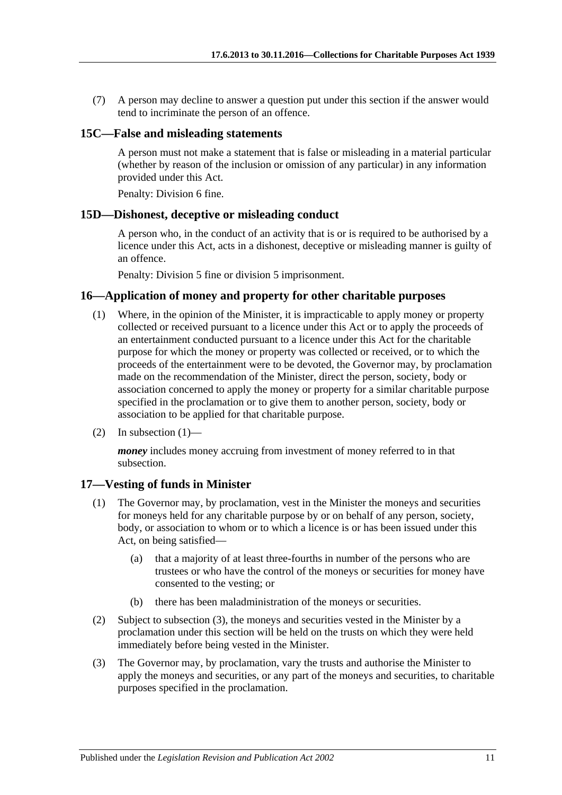(7) A person may decline to answer a question put under this section if the answer would tend to incriminate the person of an offence.

### <span id="page-10-0"></span>**15C—False and misleading statements**

A person must not make a statement that is false or misleading in a material particular (whether by reason of the inclusion or omission of any particular) in any information provided under this Act.

Penalty: Division 6 fine.

### <span id="page-10-1"></span>**15D—Dishonest, deceptive or misleading conduct**

A person who, in the conduct of an activity that is or is required to be authorised by a licence under this Act, acts in a dishonest, deceptive or misleading manner is guilty of an offence.

Penalty: Division 5 fine or division 5 imprisonment.

### <span id="page-10-4"></span><span id="page-10-2"></span>**16—Application of money and property for other charitable purposes**

- (1) Where, in the opinion of the Minister, it is impracticable to apply money or property collected or received pursuant to a licence under this Act or to apply the proceeds of an entertainment conducted pursuant to a licence under this Act for the charitable purpose for which the money or property was collected or received, or to which the proceeds of the entertainment were to be devoted, the Governor may, by proclamation made on the recommendation of the Minister, direct the person, society, body or association concerned to apply the money or property for a similar charitable purpose specified in the proclamation or to give them to another person, society, body or association to be applied for that charitable purpose.
- (2) In [subsection](#page-10-4)  $(1)$ —

*money* includes money accruing from investment of money referred to in that subsection.

### <span id="page-10-3"></span>**17—Vesting of funds in Minister**

- (1) The Governor may, by proclamation, vest in the Minister the moneys and securities for moneys held for any charitable purpose by or on behalf of any person, society, body, or association to whom or to which a licence is or has been issued under this Act, on being satisfied—
	- (a) that a majority of at least three-fourths in number of the persons who are trustees or who have the control of the moneys or securities for money have consented to the vesting; or
	- (b) there has been maladministration of the moneys or securities.
- (2) Subject to [subsection](#page-10-5) (3), the moneys and securities vested in the Minister by a proclamation under this section will be held on the trusts on which they were held immediately before being vested in the Minister.
- <span id="page-10-5"></span>(3) The Governor may, by proclamation, vary the trusts and authorise the Minister to apply the moneys and securities, or any part of the moneys and securities, to charitable purposes specified in the proclamation.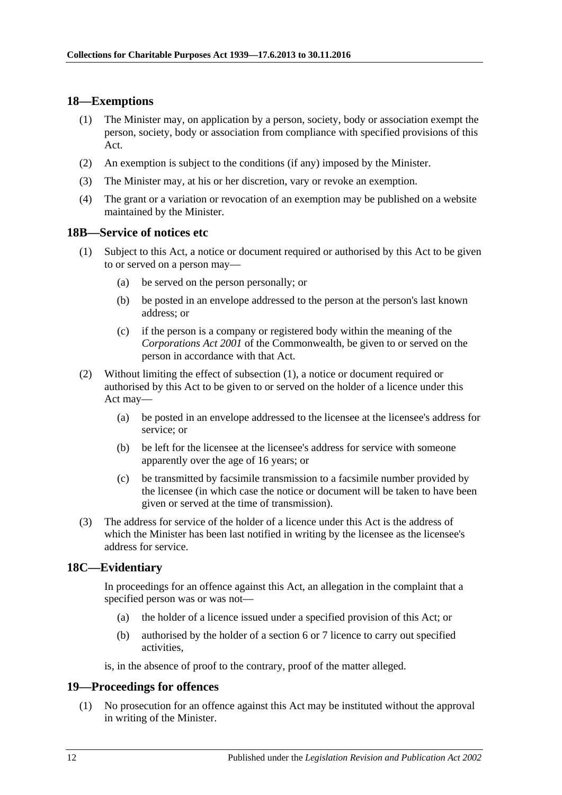## <span id="page-11-0"></span>**18—Exemptions**

- (1) The Minister may, on application by a person, society, body or association exempt the person, society, body or association from compliance with specified provisions of this Act.
- (2) An exemption is subject to the conditions (if any) imposed by the Minister.
- (3) The Minister may, at his or her discretion, vary or revoke an exemption.
- (4) The grant or a variation or revocation of an exemption may be published on a website maintained by the Minister.

#### <span id="page-11-4"></span><span id="page-11-1"></span>**18B—Service of notices etc**

- (1) Subject to this Act, a notice or document required or authorised by this Act to be given to or served on a person may—
	- (a) be served on the person personally; or
	- (b) be posted in an envelope addressed to the person at the person's last known address; or
	- (c) if the person is a company or registered body within the meaning of the *Corporations Act 2001* of the Commonwealth, be given to or served on the person in accordance with that Act.
- (2) Without limiting the effect of [subsection](#page-11-4) (1), a notice or document required or authorised by this Act to be given to or served on the holder of a licence under this Act may—
	- (a) be posted in an envelope addressed to the licensee at the licensee's address for service; or
	- (b) be left for the licensee at the licensee's address for service with someone apparently over the age of 16 years; or
	- (c) be transmitted by facsimile transmission to a facsimile number provided by the licensee (in which case the notice or document will be taken to have been given or served at the time of transmission).
- (3) The address for service of the holder of a licence under this Act is the address of which the Minister has been last notified in writing by the licensee as the licensee's address for service.

### <span id="page-11-2"></span>**18C—Evidentiary**

In proceedings for an offence against this Act, an allegation in the complaint that a specified person was or was not—

- (a) the holder of a licence issued under a specified provision of this Act; or
- (b) authorised by the holder of a [section](#page-2-0) 6 or [7](#page-4-0) licence to carry out specified activities,

is, in the absence of proof to the contrary, proof of the matter alleged.

### <span id="page-11-5"></span><span id="page-11-3"></span>**19—Proceedings for offences**

(1) No prosecution for an offence against this Act may be instituted without the approval in writing of the Minister.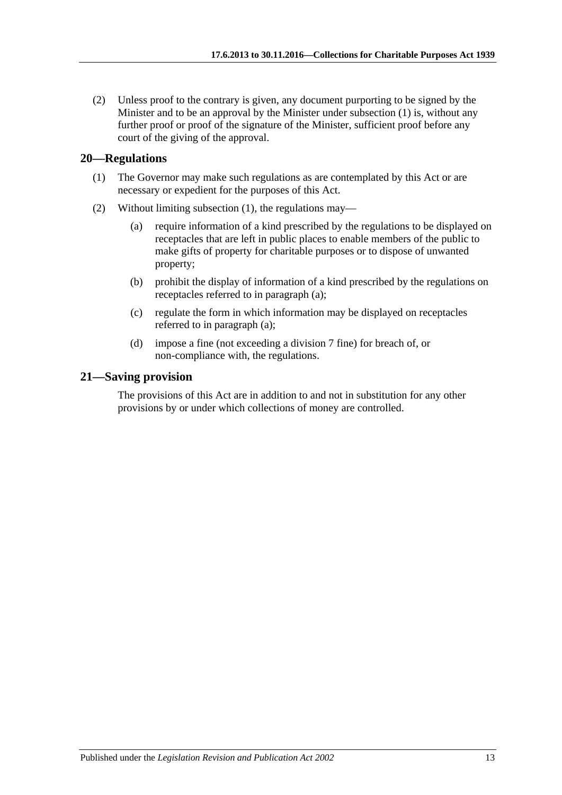(2) Unless proof to the contrary is given, any document purporting to be signed by the Minister and to be an approval by the Minister under [subsection](#page-11-5) (1) is, without any further proof or proof of the signature of the Minister, sufficient proof before any court of the giving of the approval.

## <span id="page-12-2"></span><span id="page-12-0"></span>**20—Regulations**

- (1) The Governor may make such regulations as are contemplated by this Act or are necessary or expedient for the purposes of this Act.
- <span id="page-12-3"></span>(2) Without limiting [subsection](#page-12-2) (1), the regulations may—
	- (a) require information of a kind prescribed by the regulations to be displayed on receptacles that are left in public places to enable members of the public to make gifts of property for charitable purposes or to dispose of unwanted property;
	- (b) prohibit the display of information of a kind prescribed by the regulations on receptacles referred to in [paragraph](#page-12-3) (a);
	- (c) regulate the form in which information may be displayed on receptacles referred to in [paragraph](#page-12-3) (a);
	- (d) impose a fine (not exceeding a division 7 fine) for breach of, or non-compliance with, the regulations.

## <span id="page-12-1"></span>**21—Saving provision**

The provisions of this Act are in addition to and not in substitution for any other provisions by or under which collections of money are controlled.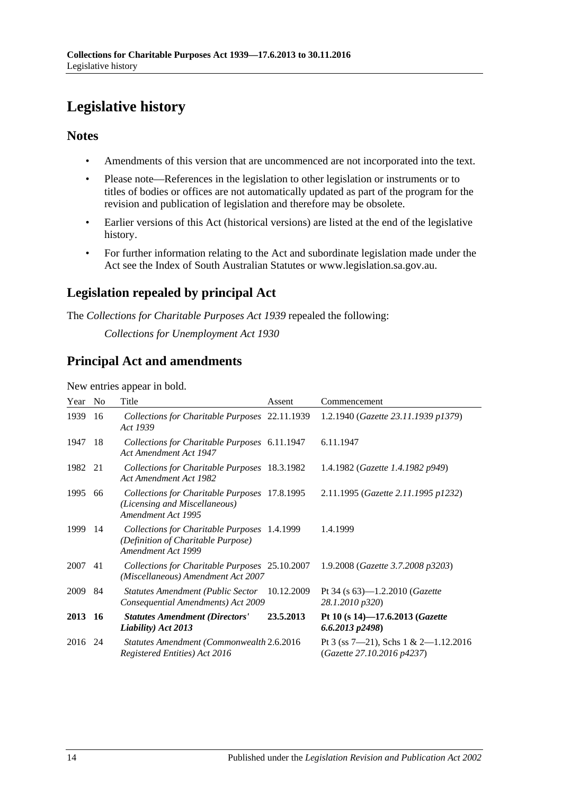# <span id="page-13-0"></span>**Legislative history**

# **Notes**

- Amendments of this version that are uncommenced are not incorporated into the text.
- Please note—References in the legislation to other legislation or instruments or to titles of bodies or offices are not automatically updated as part of the program for the revision and publication of legislation and therefore may be obsolete.
- Earlier versions of this Act (historical versions) are listed at the end of the legislative history.
- For further information relating to the Act and subordinate legislation made under the Act see the Index of South Australian Statutes or www.legislation.sa.gov.au.

# **Legislation repealed by principal Act**

The *Collections for Charitable Purposes Act 1939* repealed the following:

*Collections for Unemployment Act 1930*

# **Principal Act and amendments**

New entries appear in bold.

| Year | N <sub>0</sub> | Title                                                                                                    | Assent     | Commencement                                                       |
|------|----------------|----------------------------------------------------------------------------------------------------------|------------|--------------------------------------------------------------------|
| 1939 | 16             | Collections for Charitable Purposes 22.11.1939<br>Act 1939                                               |            | 1.2.1940 (Gazette 23.11.1939 p1379)                                |
| 1947 | 18             | Collections for Charitable Purposes 6.11.1947<br>Act Amendment Act 1947                                  |            | 6.11.1947                                                          |
| 1982 | 21             | Collections for Charitable Purposes 18.3.1982<br>Act Amendment Act 1982                                  |            | 1.4.1982 (Gazette 1.4.1982 p949)                                   |
| 1995 | 66             | Collections for Charitable Purposes 17.8.1995<br>(Licensing and Miscellaneous)<br>Amendment Act 1995     |            | 2.11.1995 (Gazette 2.11.1995 p1232)                                |
| 1999 | -14            | Collections for Charitable Purposes 1.4.1999<br>(Definition of Charitable Purpose)<br>Amendment Act 1999 |            | 1.4.1999                                                           |
| 2007 | 41             | Collections for Charitable Purposes 25.10.2007<br>(Miscellaneous) Amendment Act 2007                     |            | 1.9.2008 (Gazette 3.7.2008 p3203)                                  |
| 2009 | 84             | <b>Statutes Amendment (Public Sector</b><br>Consequential Amendments) Act 2009                           | 10.12.2009 | Pt 34 (s $63$ )—1.2.2010 ( <i>Gazette</i><br>28.1.2010 p320)       |
| 2013 | -16            | <b>Statutes Amendment (Directors'</b><br>Liability) Act 2013                                             | 23.5.2013  | Pt 10 (s 14)-17.6.2013 (Gazette<br>$6.6.2013$ $p2498$ )            |
| 2016 | 24             | Statutes Amendment (Commonwealth 2.6.2016)<br>Registered Entities) Act 2016                              |            | Pt 3 (ss 7-21), Schs 1 & 2-1.12.2016<br>(Gazette 27.10.2016 p4237) |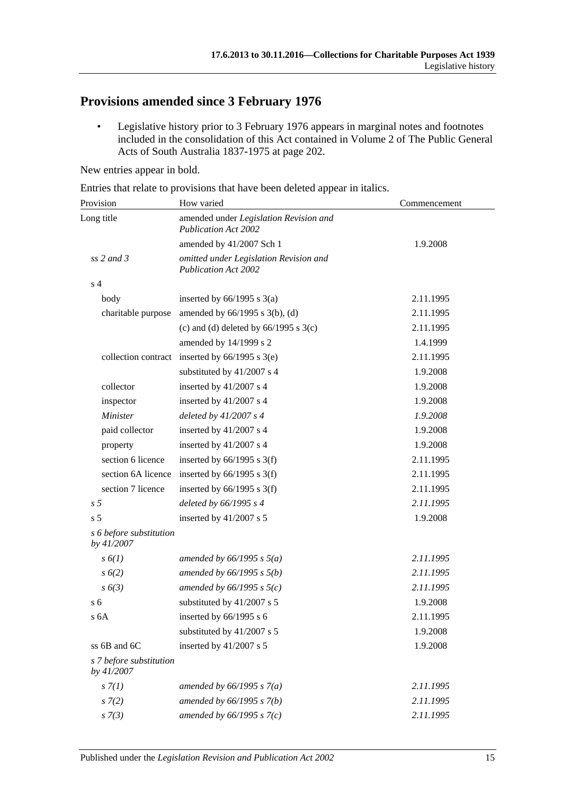# **Provisions amended since 3 February 1976**

• Legislative history prior to 3 February 1976 appears in marginal notes and footnotes included in the consolidation of this Act contained in Volume 2 of The Public General Acts of South Australia 1837-1975 at page 202.

New entries appear in bold.

Entries that relate to provisions that have been deleted appear in italics.

| Provision                             | How varied                                                            | Commencement |  |
|---------------------------------------|-----------------------------------------------------------------------|--------------|--|
| Long title                            | amended under Legislation Revision and<br><b>Publication Act 2002</b> |              |  |
|                                       | amended by 41/2007 Sch 1                                              | 1.9.2008     |  |
| $ss$ 2 and 3                          | omitted under Legislation Revision and<br><b>Publication Act 2002</b> |              |  |
| s <sub>4</sub>                        |                                                                       |              |  |
| body                                  | inserted by $66/1995$ s $3(a)$                                        | 2.11.1995    |  |
| charitable purpose                    | amended by $66/1995$ s $3(b)$ , (d)                                   | 2.11.1995    |  |
|                                       | (c) and (d) deleted by $66/1995$ s $3(c)$                             | 2.11.1995    |  |
|                                       | amended by 14/1999 s 2                                                | 1.4.1999     |  |
|                                       | collection contract inserted by $66/1995$ s $3(e)$                    | 2.11.1995    |  |
|                                       | substituted by 41/2007 s 4                                            | 1.9.2008     |  |
| collector                             | inserted by 41/2007 s 4                                               | 1.9.2008     |  |
| inspector                             | inserted by 41/2007 s 4                                               | 1.9.2008     |  |
| Minister                              | deleted by $41/2007 s 4$                                              | 1.9.2008     |  |
| paid collector                        | inserted by 41/2007 s 4                                               | 1.9.2008     |  |
| property                              | inserted by 41/2007 s 4                                               | 1.9.2008     |  |
| section 6 licence                     | inserted by $66/1995$ s 3(f)                                          | 2.11.1995    |  |
| section 6A licence                    | inserted by $66/1995$ s 3(f)                                          | 2.11.1995    |  |
| section 7 licence                     | inserted by $66/1995$ s 3(f)                                          | 2.11.1995    |  |
| s <sub>5</sub>                        | deleted by $66/1995 s 4$                                              | 2.11.1995    |  |
| s <sub>5</sub>                        | inserted by 41/2007 s 5                                               | 1.9.2008     |  |
| s 6 before substitution<br>by 41/2007 |                                                                       |              |  |
| $s\delta(1)$                          | amended by $66/1995$ s $5(a)$                                         | 2.11.1995    |  |
| s 6(2)                                | amended by $66/1995 s 5(b)$                                           | 2.11.1995    |  |
| $s\ 6(3)$                             | amended by $66/1995$ s $5(c)$                                         | 2.11.1995    |  |
| s <sub>6</sub>                        | substituted by 41/2007 s 5                                            | 1.9.2008     |  |
| s 6A                                  | inserted by $66/1995$ s 6                                             | 2.11.1995    |  |
|                                       | substituted by 41/2007 s 5                                            | 1.9.2008     |  |
| ss 6B and 6C                          | inserted by 41/2007 s 5                                               | 1.9.2008     |  |
| s 7 before substitution<br>by 41/2007 |                                                                       |              |  |
| $s \, 7(1)$                           | amended by $66/1995 s 7(a)$                                           | 2.11.1995    |  |
| $s \, 7(2)$                           | amended by $66/1995 s 7(b)$                                           | 2.11.1995    |  |
| $s \, 7(3)$                           | amended by $66/1995 s 7(c)$                                           | 2.11.1995    |  |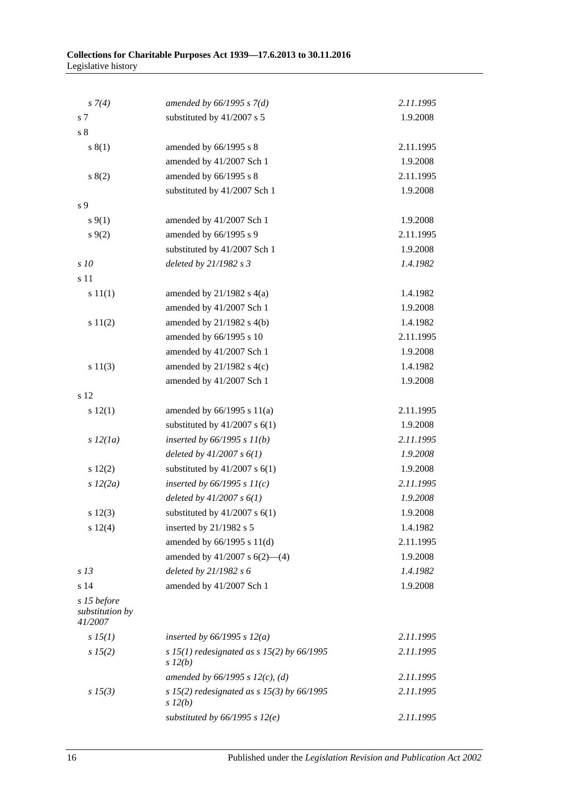| $s \, 7(4)$                               | amended by $66/1995$ s $7(d)$                              | 2.11.1995 |
|-------------------------------------------|------------------------------------------------------------|-----------|
| s <sub>7</sub>                            | substituted by 41/2007 s 5                                 | 1.9.2008  |
| s <sub>8</sub>                            |                                                            |           |
| s(1)                                      | amended by 66/1995 s 8                                     | 2.11.1995 |
|                                           | amended by 41/2007 Sch 1                                   | 1.9.2008  |
| s(2)                                      | amended by 66/1995 s 8                                     | 2.11.1995 |
|                                           | substituted by 41/2007 Sch 1                               | 1.9.2008  |
| s 9                                       |                                                            |           |
| $s \, 9(1)$                               | amended by 41/2007 Sch 1                                   | 1.9.2008  |
| $s \, 9(2)$                               | amended by 66/1995 s 9                                     | 2.11.1995 |
|                                           | substituted by 41/2007 Sch 1                               | 1.9.2008  |
| s 10                                      | deleted by 21/1982 s 3                                     | 1.4.1982  |
| s 11                                      |                                                            |           |
| s 11(1)                                   | amended by $21/1982$ s $4(a)$                              | 1.4.1982  |
|                                           | amended by 41/2007 Sch 1                                   | 1.9.2008  |
| s 11(2)                                   | amended by 21/1982 s 4(b)                                  | 1.4.1982  |
|                                           | amended by 66/1995 s 10                                    | 2.11.1995 |
|                                           | amended by 41/2007 Sch 1                                   | 1.9.2008  |
| s 11(3)                                   | amended by $21/1982$ s $4(c)$                              | 1.4.1982  |
|                                           | amended by 41/2007 Sch 1                                   | 1.9.2008  |
| s 12                                      |                                                            |           |
| s 12(1)                                   | amended by $66/1995$ s $11(a)$                             | 2.11.1995 |
|                                           | substituted by $41/2007$ s $6(1)$                          | 1.9.2008  |
| $s\,l2(la)$                               | inserted by $66/1995 s 11(b)$                              | 2.11.1995 |
|                                           | deleted by $41/2007 s 6(1)$                                | 1.9.2008  |
| 12(2)                                     | substituted by $41/2007$ s $6(1)$                          | 1.9.2008  |
| $s\,12(2a)$                               | inserted by $66/1995 s 11(c)$                              | 2.11.1995 |
|                                           | deleted by $41/2007 s 6(1)$                                | 1.9.2008  |
| $s\ 12(3)$                                | substituted by $41/2007$ s $6(1)$                          | 1.9.2008  |
| s 12(4)                                   | inserted by 21/1982 s 5                                    | 1.4.1982  |
|                                           | amended by 66/1995 s 11(d)                                 | 2.11.1995 |
|                                           | amended by $41/2007$ s $6(2)$ —(4)                         | 1.9.2008  |
| s <sub>13</sub>                           | deleted by 21/1982 s 6                                     | 1.4.1982  |
| s 14                                      | amended by 41/2007 Sch 1                                   | 1.9.2008  |
| s 15 before<br>substitution by<br>41/2007 |                                                            |           |
| $s\,15(1)$                                | inserted by $66/1995$ s $12(a)$                            | 2.11.1995 |
| s 15(2)                                   | s 15(1) redesignated as s 15(2) by $66/1995$<br>$s\,l2(b)$ | 2.11.1995 |
|                                           | amended by $66/1995 s 12(c)$ , (d)                         | 2.11.1995 |
| $s\,15(3)$                                | s 15(2) redesignated as s 15(3) by $66/1995$<br>$s\,l2(b)$ | 2.11.1995 |
|                                           | substituted by $66/1995$ s $12(e)$                         | 2.11.1995 |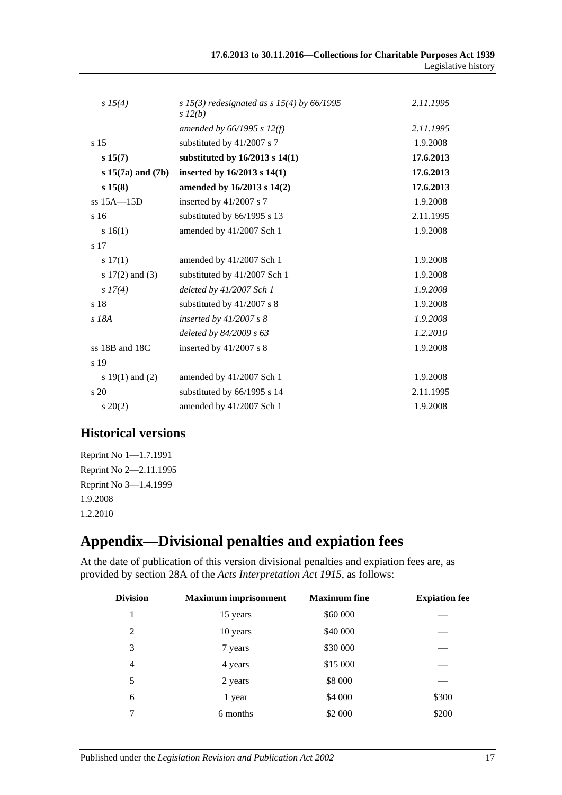| 17.6.2013 to 30.11.2016—Collections for Charitable Purposes Act 1939 |                     |
|----------------------------------------------------------------------|---------------------|
|                                                                      | Legislative history |

| $s\,15(4)$            | s 15(3) redesignated as s 15(4) by $66/1995$ | 2.11.1995 |
|-----------------------|----------------------------------------------|-----------|
|                       | $s\,l2(b)$                                   |           |
|                       | amended by $66/1995$ s $12(f)$               | 2.11.1995 |
| s <sub>15</sub>       | substituted by 41/2007 s 7                   | 1.9.2008  |
| s 15(7)               | substituted by $16/2013$ s $14(1)$           | 17.6.2013 |
| $s 15(7a)$ and $(7b)$ | inserted by 16/2013 s 14(1)                  | 17.6.2013 |
| s 15(8)               | amended by 16/2013 s 14(2)                   | 17.6.2013 |
| $ss$ 15A $-15D$       | inserted by 41/2007 s 7                      | 1.9.2008  |
| s <sub>16</sub>       | substituted by 66/1995 s 13                  | 2.11.1995 |
| s 16(1)               | amended by 41/2007 Sch 1                     | 1.9.2008  |
| s 17                  |                                              |           |
| s 17(1)               | amended by 41/2007 Sch 1                     | 1.9.2008  |
| s $17(2)$ and $(3)$   | substituted by 41/2007 Sch 1                 | 1.9.2008  |
| $s\,I7(4)$            | deleted by 41/2007 Sch 1                     | 1.9.2008  |
| s 18                  | substituted by 41/2007 s 8                   | 1.9.2008  |
| $s$ 18 $A$            | inserted by $41/2007 s 8$                    | 1.9.2008  |
|                       | deleted by 84/2009 s 63                      | 1.2.2010  |
| ss 18B and 18C        | inserted by 41/2007 s 8                      | 1.9.2008  |
| s 19                  |                                              |           |
| s 19(1) and (2)       | amended by 41/2007 Sch 1                     | 1.9.2008  |
| $\frac{1}{20}$        | substituted by 66/1995 s 14                  | 2.11.1995 |
| $s\ 20(2)$            | amended by 41/2007 Sch 1                     | 1.9.2008  |

# **Historical versions**

Reprint No 1—1.7.1991 Reprint No 2—2.11.1995 Reprint No 3—1.4.1999 1.9.2008 1.2.2010

# <span id="page-16-0"></span>**Appendix—Divisional penalties and expiation fees**

At the date of publication of this version divisional penalties and expiation fees are, as provided by section 28A of the *[Acts Interpretation Act 1915](http://www.legislation.sa.gov.au/index.aspx?action=legref&type=act&legtitle=Acts%20Interpretation%20Act%201915)*, as follows:

| Division       | <b>Maximum</b> imprisonment | <b>Maximum</b> fine | <b>Expiation fee</b> |
|----------------|-----------------------------|---------------------|----------------------|
| 1              | 15 years                    | \$60 000            |                      |
| $\mathfrak{D}$ | 10 years                    | \$40 000            |                      |
| 3              | 7 years                     | \$30 000            |                      |
| 4              | 4 years                     | \$15 000            |                      |
| 5              | 2 years                     | \$8 000             |                      |
| 6              | 1 year                      | \$4 000             | \$300                |
| 7              | 6 months                    | \$2 000             | \$200                |